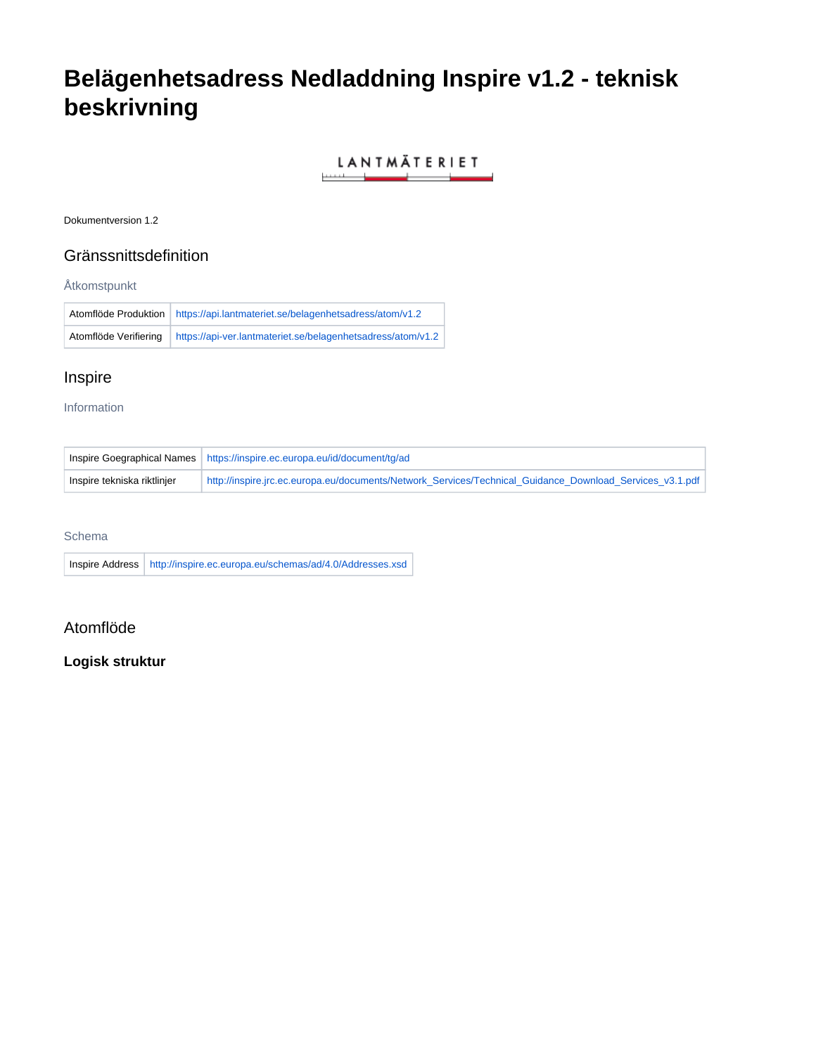# **Belägenhetsadress Nedladdning Inspire v1.2 - teknisk beskrivning**

### LANTMÄTERIET <u>and the second control of the second control of the second control of the second control of the second control of the second control of the second control of the second control of the second control of the second control </u>

Dokumentversion 1.2

## Gränssnittsdefinition

### Åtkomstpunkt

|                       | Atomflöde Produktion   https://api.lantmateriet.se/belagenhetsadress/atom/v1.2 |
|-----------------------|--------------------------------------------------------------------------------|
| Atomflöde Verifiering | https://api-ver.lantmateriet.se/belagenhetsadress/atom/v1.2                    |

# Inspire

### Information

|                             | Inspire Goegraphical Names   https://inspire.ec.europa.eu/id/document/tg/ad                              |
|-----------------------------|----------------------------------------------------------------------------------------------------------|
| Inspire tekniska riktlinjer | http://inspire.jrc.ec.europa.eu/documents/Network Services/Technical Guidance Download Services v3.1.pdf |

### Schema

Inspire Address <http://inspire.ec.europa.eu/schemas/ad/4.0/Addresses.xsd>

# Atomflöde

### **Logisk struktur**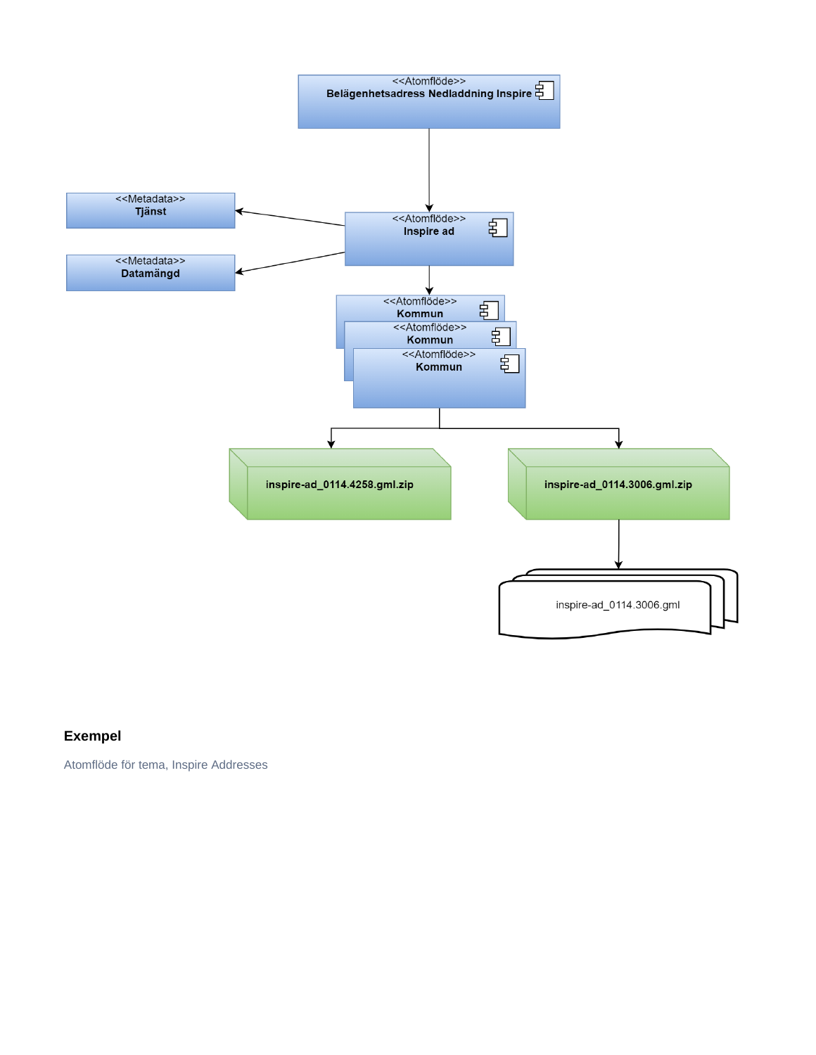

# **Exempel**

Atomflöde för tema, Inspire Addresses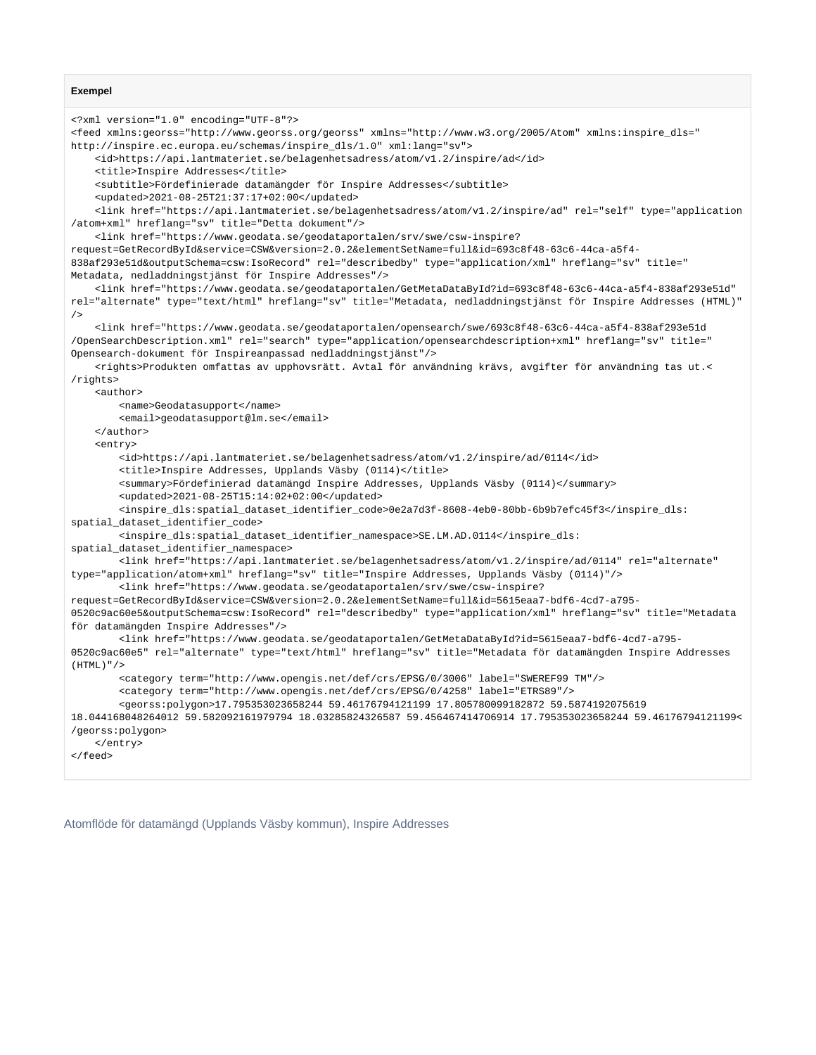#### **Exempel**

```
<?xml version="1.0" encoding="UTF-8"?>
<feed xmlns:georss="http://www.georss.org/georss" xmlns="http://www.w3.org/2005/Atom" xmlns:inspire_dls="
http://inspire.ec.europa.eu/schemas/inspire_dls/1.0" xml:lang="sv">
    <id>https://api.lantmateriet.se/belagenhetsadress/atom/v1.2/inspire/ad</id>
    <title>Inspire Addresses</title>
    <subtitle>Fördefinierade datamängder för Inspire Addresses</subtitle>
     <updated>2021-08-25T21:37:17+02:00</updated>
     <link href="https://api.lantmateriet.se/belagenhetsadress/atom/v1.2/inspire/ad" rel="self" type="application
/atom+xml" hreflang="sv" title="Detta dokument"/>
    <link href="https://www.geodata.se/geodataportalen/srv/swe/csw-inspire?
request=GetRecordById&service=CSW&version=2.0.2&elementSetName=full&id=693c8f48-63c6-44ca-a5f4-
838af293e51d&outputSchema=csw:IsoRecord" rel="describedby" type="application/xml" hreflang="sv" title="
Metadata, nedladdningstjänst för Inspire Addresses"/>
     <link href="https://www.geodata.se/geodataportalen/GetMetaDataById?id=693c8f48-63c6-44ca-a5f4-838af293e51d" 
rel="alternate" type="text/html" hreflang="sv" title="Metadata, nedladdningstjänst för Inspire Addresses (HTML)"
/>
    <link href="https://www.geodata.se/geodataportalen/opensearch/swe/693c8f48-63c6-44ca-a5f4-838af293e51d
/OpenSearchDescription.xml" rel="search" type="application/opensearchdescription+xml" hreflang="sv" title="
Opensearch-dokument för Inspireanpassad nedladdningstjänst"/>
    <rights>Produkten omfattas av upphovsrätt. Avtal för användning krävs, avgifter för användning tas ut.<
/rights>
    <author>
        <name>Geodatasupport</name>
        <email>geodatasupport@lm.se</email>
    </author>
     <entry>
         <id>https://api.lantmateriet.se/belagenhetsadress/atom/v1.2/inspire/ad/0114</id>
         <title>Inspire Addresses, Upplands Väsby (0114)</title>
        <summary>Fördefinierad datamängd Inspire Addresses, Upplands Väsby (0114)</summary>
        <updated>2021-08-25T15:14:02+02:00</updated>
        <inspire_dls:spatial_dataset_identifier_code>0e2a7d3f-8608-4eb0-80bb-6b9b7efc45f3</inspire_dls:
spatial_dataset_identifier_code>
        <inspire_dls:spatial_dataset_identifier_namespace>SE.LM.AD.0114</inspire_dls:
spatial_dataset_identifier_namespace>
        <link href="https://api.lantmateriet.se/belagenhetsadress/atom/v1.2/inspire/ad/0114" rel="alternate" 
type="application/atom+xml" hreflang="sv" title="Inspire Addresses, Upplands Väsby (0114)"/>
        <link href="https://www.geodata.se/geodataportalen/srv/swe/csw-inspire?
request=GetRecordById&service=CSW&version=2.0.2&elementSetName=full&id=5615eaa7-bdf6-4cd7-a795-
0520c9ac60e5&outputSchema=csw:IsoRecord" rel="describedby" type="application/xml" hreflang="sv" title="Metadata 
för datamängden Inspire Addresses"/>
        <link href="https://www.geodata.se/geodataportalen/GetMetaDataById?id=5615eaa7-bdf6-4cd7-a795-
0520c9ac60e5" rel="alternate" type="text/html" hreflang="sv" title="Metadata för datamängden Inspire Addresses 
(HTMT, Y'') <category term="http://www.opengis.net/def/crs/EPSG/0/3006" label="SWEREF99 TM"/>
        <category term="http://www.opengis.net/def/crs/EPSG/0/4258" label="ETRS89"/>
        <georss:polygon>17.795353023658244 59.46176794121199 17.805780099182872 59.5874192075619 
18.044168048264012 59.582092161979794 18.03285824326587 59.456467414706914 17.795353023658244 59.46176794121199<
/georss:polygon>
    </entry>
</feed>
```
Atomflöde för datamängd (Upplands Väsby kommun), Inspire Addresses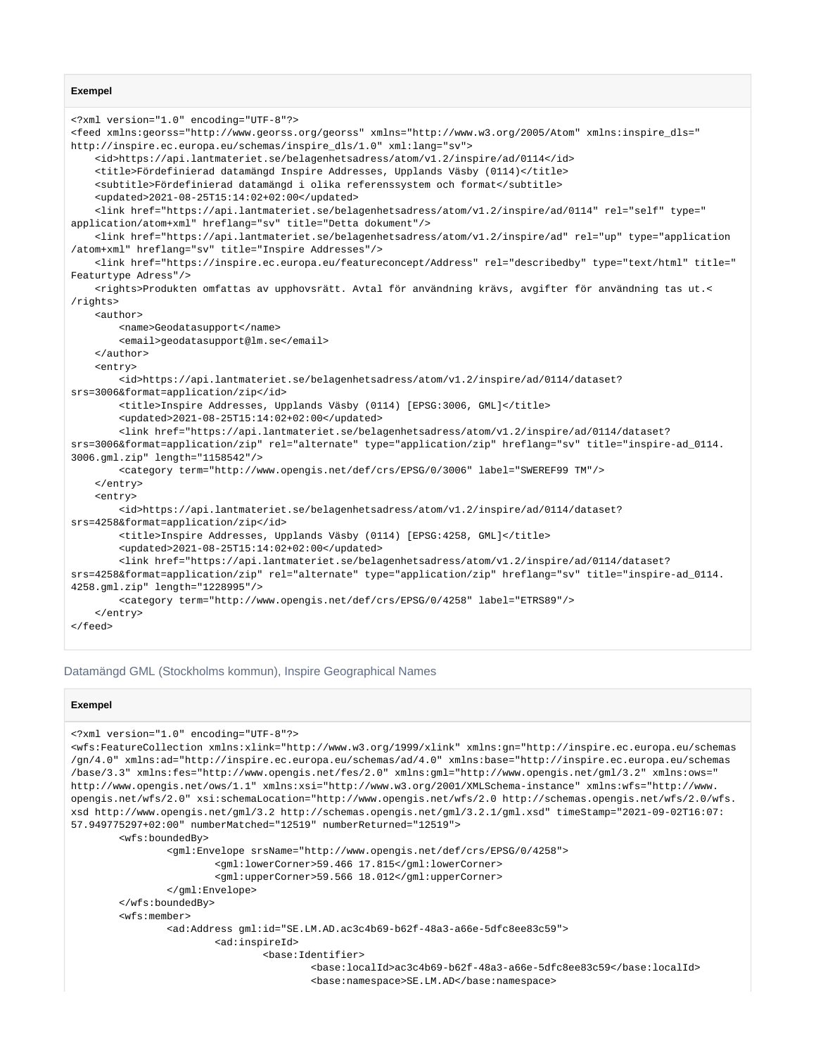#### **Exempel**

```
<?xml version="1.0" encoding="UTF-8"?>
<feed xmlns:georss="http://www.georss.org/georss" xmlns="http://www.w3.org/2005/Atom" xmlns:inspire_dls="
http://inspire.ec.europa.eu/schemas/inspire_dls/1.0" xml:lang="sv">
     <id>https://api.lantmateriet.se/belagenhetsadress/atom/v1.2/inspire/ad/0114</id>
     <title>Fördefinierad datamängd Inspire Addresses, Upplands Väsby (0114)</title>
     <subtitle>Fördefinierad datamängd i olika referenssystem och format</subtitle>
     <updated>2021-08-25T15:14:02+02:00</updated>
     <link href="https://api.lantmateriet.se/belagenhetsadress/atom/v1.2/inspire/ad/0114" rel="self" type="
application/atom+xml" hreflang="sv" title="Detta dokument"/>
     <link href="https://api.lantmateriet.se/belagenhetsadress/atom/v1.2/inspire/ad" rel="up" type="application
/atom+xml" hreflang="sv" title="Inspire Addresses"/>
     <link href="https://inspire.ec.europa.eu/featureconcept/Address" rel="describedby" type="text/html" title="
Featurtype Adress"/>
     <rights>Produkten omfattas av upphovsrätt. Avtal för användning krävs, avgifter för användning tas ut.<
/rights>
     <author>
         <name>Geodatasupport</name>
         <email>geodatasupport@lm.se</email>
     </author>
     <entry>
         <id>https://api.lantmateriet.se/belagenhetsadress/atom/v1.2/inspire/ad/0114/dataset?
srs=3006&format=application/zip</id>
         <title>Inspire Addresses, Upplands Väsby (0114) [EPSG:3006, GML]</title>
         <updated>2021-08-25T15:14:02+02:00</updated>
         <link href="https://api.lantmateriet.se/belagenhetsadress/atom/v1.2/inspire/ad/0114/dataset?
srs=3006&format=application/zip" rel="alternate" type="application/zip" hreflang="sv" title="inspire-ad_0114.
3006.gml.zip" length="1158542"/>
         <category term="http://www.opengis.net/def/crs/EPSG/0/3006" label="SWEREF99 TM"/>
    \epsilon/entrys
     <entry>
         <id>https://api.lantmateriet.se/belagenhetsadress/atom/v1.2/inspire/ad/0114/dataset?
srs=4258&format=application/zip</id>
         <title>Inspire Addresses, Upplands Väsby (0114) [EPSG:4258, GML]</title>
         <updated>2021-08-25T15:14:02+02:00</updated>
         <link href="https://api.lantmateriet.se/belagenhetsadress/atom/v1.2/inspire/ad/0114/dataset?
srs=4258&format=application/zip" rel="alternate" type="application/zip" hreflang="sv" title="inspire-ad_0114.
4258.gml.zip" length="1228995"/>
         <category term="http://www.opengis.net/def/crs/EPSG/0/4258" label="ETRS89"/>
     </entry>
</feed>
```
#### Datamängd GML (Stockholms kommun), Inspire Geographical Names

#### **Exempel**

```
<?xml version="1.0" encoding="UTF-8"?>
<wfs:FeatureCollection xmlns:xlink="http://www.w3.org/1999/xlink" xmlns:gn="http://inspire.ec.europa.eu/schemas
/gn/4.0" xmlns:ad="http://inspire.ec.europa.eu/schemas/ad/4.0" xmlns:base="http://inspire.ec.europa.eu/schemas
/base/3.3" xmlns:fes="http://www.opengis.net/fes/2.0" xmlns:gml="http://www.opengis.net/gml/3.2" xmlns:ows="
http://www.opengis.net/ows/1.1" xmlns:xsi="http://www.w3.org/2001/XMLSchema-instance" xmlns:wfs="http://www.
opengis.net/wfs/2.0" xsi:schemaLocation="http://www.opengis.net/wfs/2.0 http://schemas.opengis.net/wfs/2.0/wfs.
xsd http://www.opengis.net/gml/3.2 http://schemas.opengis.net/gml/3.2.1/gml.xsd" timeStamp="2021-09-02T16:07:
57.949775297+02:00" numberMatched="12519" numberReturned="12519">
         <wfs:boundedBy>
                 <gml:Envelope srsName="http://www.opengis.net/def/crs/EPSG/0/4258">
                         <gml:lowerCorner>59.466 17.815</gml:lowerCorner>
                         <gml:upperCorner>59.566 18.012</gml:upperCorner>
                 </gml:Envelope>
         </wfs:boundedBy>
         <wfs:member>
                 <ad:Address gml:id="SE.LM.AD.ac3c4b69-b62f-48a3-a66e-5dfc8ee83c59">
                         <ad:inspireId>
                                 <base:Identifier>
                                         <base:localId>ac3c4b69-b62f-48a3-a66e-5dfc8ee83c59</base:localId>
                                         <base:namespace>SE.LM.AD</base:namespace>
```